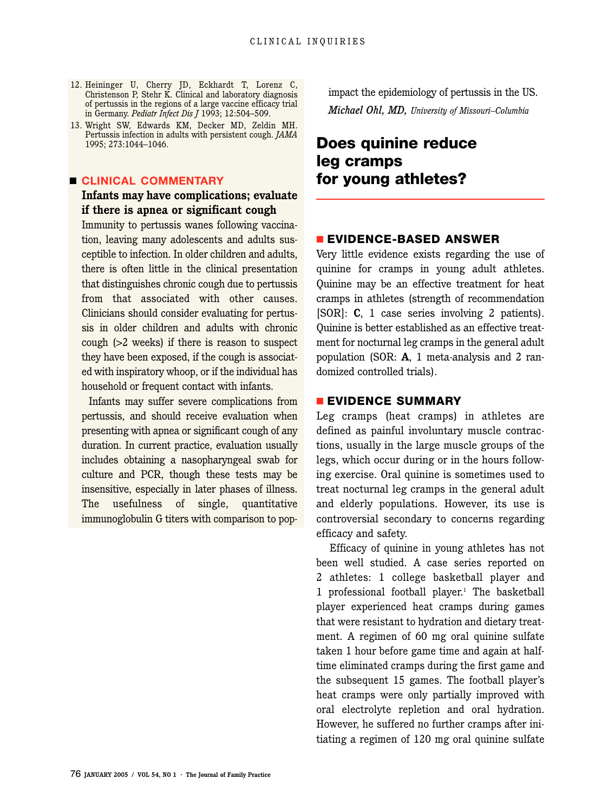- 12. Heininger U, Cherry JD, Eckhardt T, Lorenz C, Christenson P, Stehr K. Clinical and laboratory diagnosis of pertussis in the regions of a large vaccine efficacy trial in Germany. *Pediatr Infect Dis J* 1993; 12:504–509.
- 13. Wright SW, Edwards KM, Decker MD, Zeldin MH. Pertussis infection in adults with persistent cough. *JAMA* 1995; 273:1044–1046.

#### ■ **CLINICAL COMMENTARY**

### **Infants may have complications; evaluate if there is apnea or significant cough**

Immunity to pertussis wanes following vaccination, leaving many adolescents and adults susceptible to infection. In older children and adults, there is often little in the clinical presentation that distinguishes chronic cough due to pertussis from that associated with other causes. Clinicians should consider evaluating for pertussis in older children and adults with chronic cough (>2 weeks) if there is reason to suspect they have been exposed, if the cough is associated with inspiratory whoop, or if the individual has household or frequent contact with infants.

Infants may suffer severe complications from pertussis, and should receive evaluation when presenting with apnea or significant cough of any duration. In current practice, evaluation usually includes obtaining a nasopharyngeal swab for culture and PCR, though these tests may be insensitive, especially in later phases of illness. The usefulness of single, quantitative immunoglobulin G titers with comparison to popimpact the epidemiology of pertussis in the US. *Michael Ohl, MD, University of Missouri–Columbia*

# **Does quinine reduce leg cramps for young athletes?**

### ■ **EVIDENCE-BASED ANSWER**

Very little evidence exists regarding the use of quinine for cramps in young adult athletes. Quinine may be an effective treatment for heat cramps in athletes (strength of recommendation [SOR]: **C**, 1 case series involving 2 patients). Quinine is better established as an effective treatment for nocturnal leg cramps in the general adult population (SOR: **A**, 1 meta-analysis and 2 randomized controlled trials).

### ■ **EVIDENCE SUMMARY**

Leg cramps (heat cramps) in athletes are defined as painful involuntary muscle contractions, usually in the large muscle groups of the legs, which occur during or in the hours following exercise. Oral quinine is sometimes used to treat nocturnal leg cramps in the general adult and elderly populations. However, its use is controversial secondary to concerns regarding efficacy and safety.

Efficacy of quinine in young athletes has not been well studied. A case series reported on 2 athletes: 1 college basketball player and 1 professional football player.<sup>1</sup> The basketball player experienced heat cramps during games that were resistant to hydration and dietary treatment. A regimen of 60 mg oral quinine sulfate taken 1 hour before game time and again at halftime eliminated cramps during the first game and the subsequent 15 games. The football player's heat cramps were only partially improved with oral electrolyte repletion and oral hydration. However, he suffered no further cramps after initiating a regimen of 120 mg oral quinine sulfate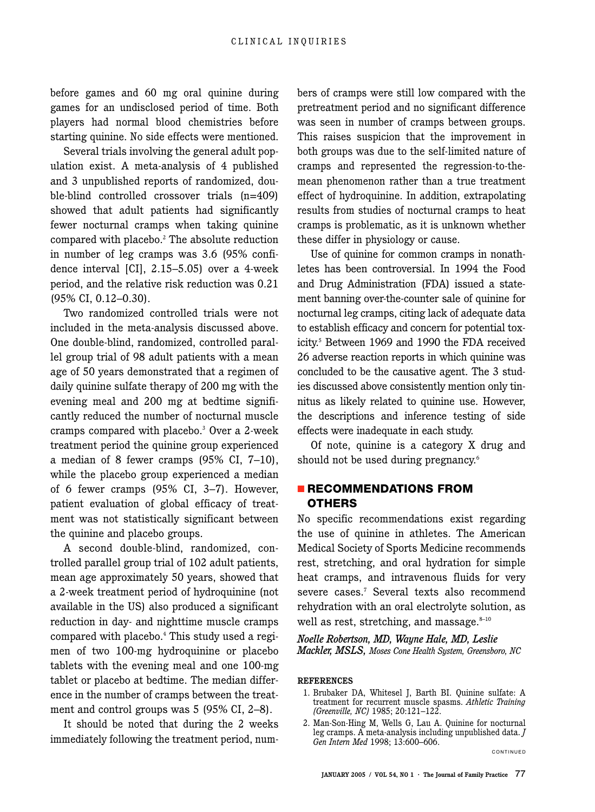before games and 60 mg oral quinine during games for an undisclosed period of time. Both players had normal blood chemistries before starting quinine. No side effects were mentioned.

Several trials involving the general adult population exist. A meta-analysis of 4 published and 3 unpublished reports of randomized, double-blind controlled crossover trials (n=409) showed that adult patients had significantly fewer nocturnal cramps when taking quinine compared with placebo.2 The absolute reduction in number of leg cramps was 3.6 (95% confidence interval [CI], 2.15–5.05) over a 4-week period, and the relative risk reduction was 0.21 (95% CI, 0.12–0.30).

Two randomized controlled trials were not included in the meta-analysis discussed above. One double-blind, randomized, controlled parallel group trial of 98 adult patients with a mean age of 50 years demonstrated that a regimen of daily quinine sulfate therapy of 200 mg with the evening meal and 200 mg at bedtime significantly reduced the number of nocturnal muscle cramps compared with placebo.3 Over a 2-week treatment period the quinine group experienced a median of 8 fewer cramps (95% CI, 7–10), while the placebo group experienced a median of 6 fewer cramps (95% CI, 3–7). However, patient evaluation of global efficacy of treatment was not statistically significant between the quinine and placebo groups.

A second double-blind, randomized, controlled parallel group trial of 102 adult patients, mean age approximately 50 years, showed that a 2-week treatment period of hydroquinine (not available in the US) also produced a significant reduction in day- and nighttime muscle cramps compared with placebo.4 This study used a regimen of two 100-mg hydroquinine or placebo tablets with the evening meal and one 100-mg tablet or placebo at bedtime. The median difference in the number of cramps between the treatment and control groups was 5 (95% CI, 2–8).

It should be noted that during the 2 weeks immediately following the treatment period, numbers of cramps were still low compared with the pretreatment period and no significant difference was seen in number of cramps between groups. This raises suspicion that the improvement in both groups was due to the self-limited nature of cramps and represented the regression-to-themean phenomenon rather than a true treatment effect of hydroquinine. In addition, extrapolating results from studies of nocturnal cramps to heat cramps is problematic, as it is unknown whether these differ in physiology or cause.

Use of quinine for common cramps in nonathletes has been controversial. In 1994 the Food and Drug Administration (FDA) issued a statement banning over-the-counter sale of quinine for nocturnal leg cramps, citing lack of adequate data to establish efficacy and concern for potential toxicity.5 Between 1969 and 1990 the FDA received 26 adverse reaction reports in which quinine was concluded to be the causative agent. The 3 studies discussed above consistently mention only tinnitus as likely related to quinine use. However, the descriptions and inference testing of side effects were inadequate in each study.

Of note, quinine is a category X drug and should not be used during pregnancy.<sup>6</sup>

### ■ **RECOMMENDATIONS FROM OTHERS**

No specific recommendations exist regarding the use of quinine in athletes. The American Medical Society of Sports Medicine recommends rest, stretching, and oral hydration for simple heat cramps, and intravenous fluids for very severe cases.<sup>7</sup> Several texts also recommend rehydration with an oral electrolyte solution, as well as rest, stretching, and massage. $8-10$ 

*Noelle Robertson, MD, Wayne Hale, MD, Leslie Mackler, MSLS, Moses Cone Health System, Greensboro, NC*

#### **REFERENCES**

- 1. Brubaker DA, Whitesel J, Barth BI. Quinine sulfate: A treatment for recurrent muscle spasms. *Athletic Training (Greenville, NC)* 1985; 20:121–122.
- 2. Man-Son-Hing M, Wells G, Lau A. Quinine for nocturnal leg cramps. A meta-analysis including unpublished data. *J Gen Intern Med* 1998; 13:600–606.

CONTINUED